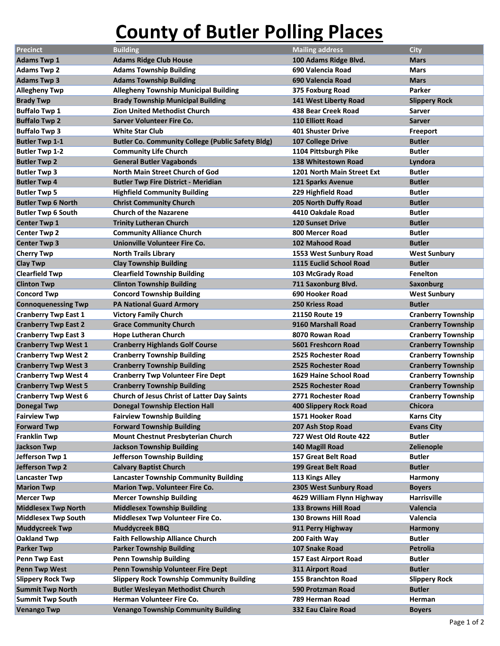## **County of Butler Polling Places**

| <b>Precinct</b>                           | <b>Building</b>                                          | <b>Mailing address</b>        | <b>City</b>               |
|-------------------------------------------|----------------------------------------------------------|-------------------------------|---------------------------|
| <b>Adams Twp 1</b>                        | <b>Adams Ridge Club House</b>                            | 100 Adams Ridge Blvd.         | <b>Mars</b>               |
| <b>Adams Twp 2</b>                        | <b>Adams Township Building</b>                           | 690 Valencia Road             | <b>Mars</b>               |
| <b>Adams Twp 3</b>                        | <b>Adams Township Building</b>                           | 690 Valencia Road             | <b>Mars</b>               |
| <b>Allegheny Twp</b>                      | <b>Allegheny Township Municipal Building</b>             | 375 Foxburg Road              | Parker                    |
| <b>Brady Twp</b>                          | <b>Brady Township Municipal Building</b>                 | 141 West Liberty Road         | <b>Slippery Rock</b>      |
| <b>Buffalo Twp 1</b>                      | <b>Zion United Methodist Church</b>                      | 438 Bear Creek Road           | <b>Sarver</b>             |
| <b>Buffalo Twp 2</b>                      | <b>Sarver Volunteer Fire Co.</b>                         | <b>110 Elliott Road</b>       | <b>Sarver</b>             |
| <b>Buffalo Twp 3</b>                      | <b>White Star Club</b>                                   | <b>401 Shuster Drive</b>      | Freeport                  |
| <b>Butler Twp 1-1</b>                     | <b>Butler Co. Community College (Public Safety Bldg)</b> | 107 College Drive             | <b>Butler</b>             |
| <b>Butler Twp 1-2</b>                     | <b>Community Life Church</b>                             | 1104 Pittsburgh Pike          | Butler                    |
| <b>Butler Twp 2</b>                       | <b>General Butler Vagabonds</b>                          | <b>138 Whitestown Road</b>    | Lyndora                   |
| <b>Butler Twp 3</b>                       | <b>North Main Street Church of God</b>                   | 1201 North Main Street Ext    | Butler                    |
| <b>Butler Twp 4</b>                       | <b>Butler Twp Fire District - Meridian</b>               | <b>121 Sparks Avenue</b>      | <b>Butler</b>             |
| <b>Butler Twp 5</b>                       | <b>Highfield Community Building</b>                      | 229 Highfield Road            | <b>Butler</b>             |
| <b>Butler Twp 6 North</b>                 | <b>Christ Community Church</b>                           | 205 North Duffy Road          | <b>Butler</b>             |
| <b>Butler Twp 6 South</b>                 | <b>Church of the Nazarene</b>                            | 4410 Oakdale Road             | <b>Butler</b>             |
| <b>Center Twp 1</b>                       | <b>Trinity Lutheran Church</b>                           | <b>120 Sunset Drive</b>       | <b>Butler</b>             |
| <b>Center Twp 2</b>                       | <b>Community Alliance Church</b>                         | 800 Mercer Road               | <b>Butler</b>             |
| <b>Center Twp 3</b>                       | Unionville Volunteer Fire Co.                            | <b>102 Mahood Road</b>        | <b>Butler</b>             |
| <b>Cherry Twp</b>                         | <b>North Trails Library</b>                              | 1553 West Sunbury Road        | <b>West Sunbury</b>       |
| <b>Clay Twp</b>                           | <b>Clay Township Building</b>                            | 1115 Euclid School Road       | <b>Butler</b>             |
| <b>Clearfield Twp</b>                     | <b>Clearfield Township Building</b>                      | 103 McGrady Road              | Fenelton                  |
| <b>Clinton Twp</b>                        | <b>Clinton Township Building</b>                         | 711 Saxonburg Blvd.           | <b>Saxonburg</b>          |
| <b>Concord Twp</b>                        | <b>Concord Township Building</b>                         | 690 Hooker Road               | <b>West Sunbury</b>       |
| <b>Connoquenessing Twp</b>                | <b>PA National Guard Armory</b>                          | 250 Kriess Road               | <b>Butler</b>             |
| <b>Cranberry Twp East 1</b>               | <b>Victory Family Church</b>                             | <b>21150 Route 19</b>         | <b>Cranberry Township</b> |
| <b>Cranberry Twp East 2</b>               | <b>Grace Community Church</b>                            | 9160 Marshall Road            | <b>Cranberry Township</b> |
| <b>Cranberry Twp East 3</b>               | <b>Hope Lutheran Church</b>                              | 8070 Rowan Road               | <b>Cranberry Township</b> |
| <b>Cranberry Twp West 1</b>               | <b>Cranberry Highlands Golf Course</b>                   | 5601 Freshcorn Road           | <b>Cranberry Township</b> |
| <b>Cranberry Twp West 2</b>               | <b>Cranberry Township Building</b>                       | 2525 Rochester Road           | <b>Cranberry Township</b> |
| <b>Cranberry Twp West 3</b>               | <b>Cranberry Township Building</b>                       | 2525 Rochester Road           | <b>Cranberry Township</b> |
| <b>Cranberry Twp West 4</b>               | <b>Cranberry Twp Volunteer Fire Dept</b>                 | 1629 Haine School Road        | <b>Cranberry Township</b> |
| <b>Cranberry Twp West 5</b>               | <b>Cranberry Township Building</b>                       | 2525 Rochester Road           | <b>Cranberry Township</b> |
| <b>Cranberry Twp West 6</b>               | <b>Church of Jesus Christ of Latter Day Saints</b>       | 2771 Rochester Road           | <b>Cranberry Township</b> |
|                                           |                                                          | <b>400 Slippery Rock Road</b> |                           |
| <b>Donegal Twp</b><br><b>Fairview Twp</b> | <b>Donegal Township Election Hall</b>                    |                               | <b>Chicora</b>            |
|                                           | <b>Fairview Township Building</b>                        | 1571 Hooker Road              | <b>Karns City</b>         |
| <b>Forward Twp</b>                        | <b>Forward Township Building</b>                         | 207 Ash Stop Road             | <b>Evans City</b>         |
| <b>Franklin Twp</b>                       | <b>Mount Chestnut Presbyterian Church</b>                | 727 West Old Route 422        | <b>Butler</b>             |
| <b>Jackson Twp</b>                        | <b>Jackson Township Building</b>                         | 140 Magill Road               | Zelienople                |
| Jefferson Twp 1                           | Jefferson Township Building                              | 157 Great Belt Road           | <b>Butler</b>             |
| Jefferson Twp 2                           | <b>Calvary Baptist Church</b>                            | 199 Great Belt Road           | <b>Butler</b>             |
| <b>Lancaster Twp</b>                      | <b>Lancaster Township Community Building</b>             | 113 Kings Alley               | Harmony                   |
| <b>Marion Twp</b>                         | <b>Marion Twp. Volunteer Fire Co.</b>                    | 2305 West Sunbury Road        | <b>Boyers</b>             |
| <b>Mercer Twp</b>                         | <b>Mercer Township Building</b>                          | 4629 William Flynn Highway    | <b>Harrisville</b>        |
| <b>Middlesex Twp North</b>                | <b>Middlesex Township Building</b>                       | <b>133 Browns Hill Road</b>   | Valencia                  |
| <b>Middlesex Twp South</b>                | Middlesex Twp Volunteer Fire Co.                         | 130 Browns Hill Road          | Valencia                  |
| <b>Muddycreek Twp</b>                     | <b>Muddycreek BBQ</b>                                    | 911 Perry Highway             | <b>Harmony</b>            |
| <b>Oakland Twp</b>                        | <b>Faith Fellowship Alliance Church</b>                  | 200 Faith Way                 | Butler                    |
| <b>Parker Twp</b>                         | <b>Parker Township Building</b>                          | 107 Snake Road                | Petrolia                  |
| Penn Twp East                             | <b>Penn Township Building</b>                            | 157 East Airport Road         | <b>Butler</b>             |
| <b>Penn Twp West</b>                      | Penn Township Volunteer Fire Dept                        | 311 Airport Road              | <b>Butler</b>             |
| <b>Slippery Rock Twp</b>                  | <b>Slippery Rock Township Community Building</b>         | <b>155 Branchton Road</b>     | <b>Slippery Rock</b>      |
| <b>Summit Twp North</b>                   | <b>Butler Wesleyan Methodist Church</b>                  | 590 Protzman Road             | <b>Butler</b>             |
| <b>Summit Twp South</b>                   | Herman Volunteer Fire Co.                                | 789 Herman Road               | Herman                    |
| <b>Venango Twp</b>                        | <b>Venango Township Community Building</b>               | 332 Eau Claire Road           | <b>Boyers</b>             |